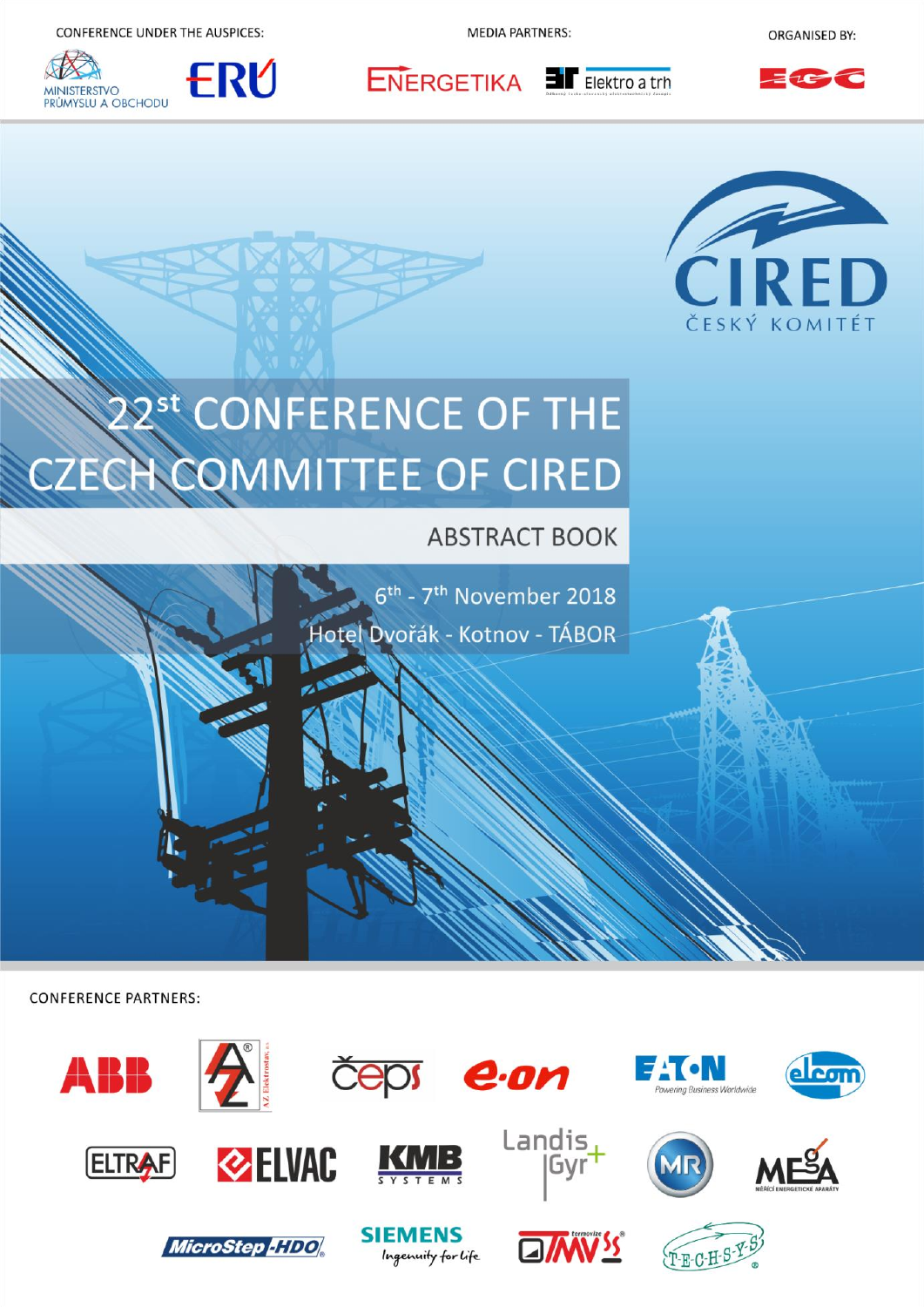CONFERENCE UNDER THE AUSPICES:





**MFDIA PARTNERS:** 

 $ENERGETIKA$  **If** Elektro a trh

**ORGANISED BY:** 





# 2<sup>st</sup> CONFERENCE OF THE **CZECH COMMITTEE OF CIRED**

**ABSTRACT BOOK** 

6<sup>th</sup> - 7<sup>th</sup> November 2018 Hotel Dvořák - Kotnov - TÁBOR

**CONFERENCE PARTNERS:** 

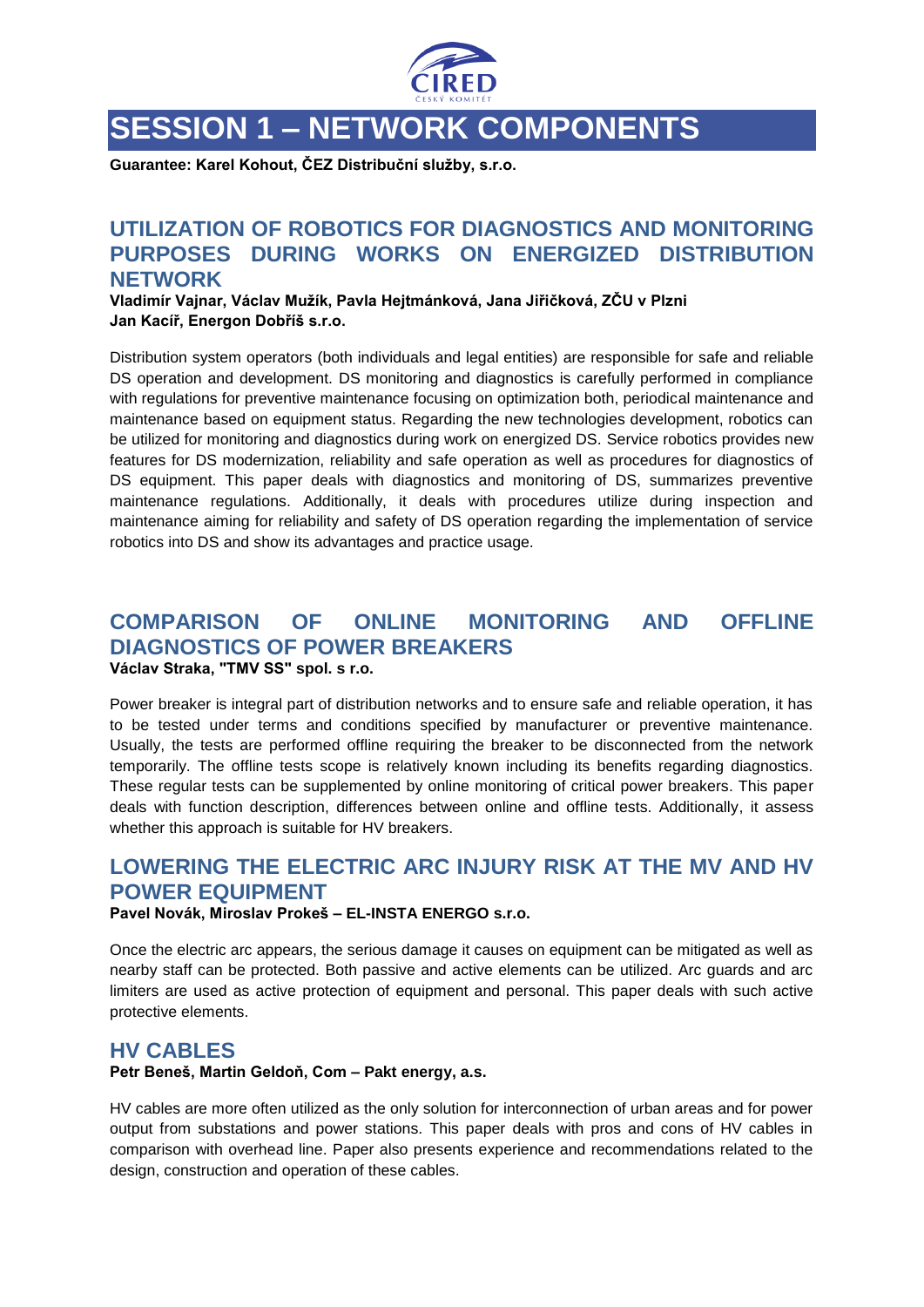

# **SESSION 1 – NETWORK COMPONENTS**

**Guarantee: Karel Kohout, ČEZ Distribuční služby, s.r.o.**

## **UTILIZATION OF ROBOTICS FOR DIAGNOSTICS AND MONITORING PURPOSES DURING WORKS ON ENERGIZED DISTRIBUTION NETWORK**

**Vladimír Vajnar, Václav Mužík, Pavla Hejtmánková, Jana Jiřičková, ZČU v Plzni Jan Kacíř, Energon Dobříš s.r.o.**

Distribution system operators (both individuals and legal entities) are responsible for safe and reliable DS operation and development. DS monitoring and diagnostics is carefully performed in compliance with regulations for preventive maintenance focusing on optimization both, periodical maintenance and maintenance based on equipment status. Regarding the new technologies development, robotics can be utilized for monitoring and diagnostics during work on energized DS. Service robotics provides new features for DS modernization, reliability and safe operation as well as procedures for diagnostics of DS equipment. This paper deals with diagnostics and monitoring of DS, summarizes preventive maintenance regulations. Additionally, it deals with procedures utilize during inspection and maintenance aiming for reliability and safety of DS operation regarding the implementation of service robotics into DS and show its advantages and practice usage.

#### **COMPARISON OF ONLINE MONITORING AND OFFLINE DIAGNOSTICS OF POWER BREAKERS Václav Straka, "TMV SS" spol. s r.o.**

Power breaker is integral part of distribution networks and to ensure safe and reliable operation, it has to be tested under terms and conditions specified by manufacturer or preventive maintenance. Usually, the tests are performed offline requiring the breaker to be disconnected from the network temporarily. The offline tests scope is relatively known including its benefits regarding diagnostics. These regular tests can be supplemented by online monitoring of critical power breakers. This paper deals with function description, differences between online and offline tests. Additionally, it assess whether this approach is suitable for HV breakers.

# **LOWERING THE ELECTRIC ARC INJURY RISK AT THE MV AND HV POWER EQUIPMENT**

#### **Pavel Novák, Miroslav Prokeš – EL-INSTA ENERGO s.r.o.**

Once the electric arc appears, the serious damage it causes on equipment can be mitigated as well as nearby staff can be protected. Both passive and active elements can be utilized. Arc guards and arc limiters are used as active protection of equipment and personal. This paper deals with such active protective elements.

#### **HV CABLES**

#### **Petr Beneš, Martin Geldoň, Com – Pakt energy, a.s.**

HV cables are more often utilized as the only solution for interconnection of urban areas and for power output from substations and power stations. This paper deals with pros and cons of HV cables in comparison with overhead line. Paper also presents experience and recommendations related to the design, construction and operation of these cables.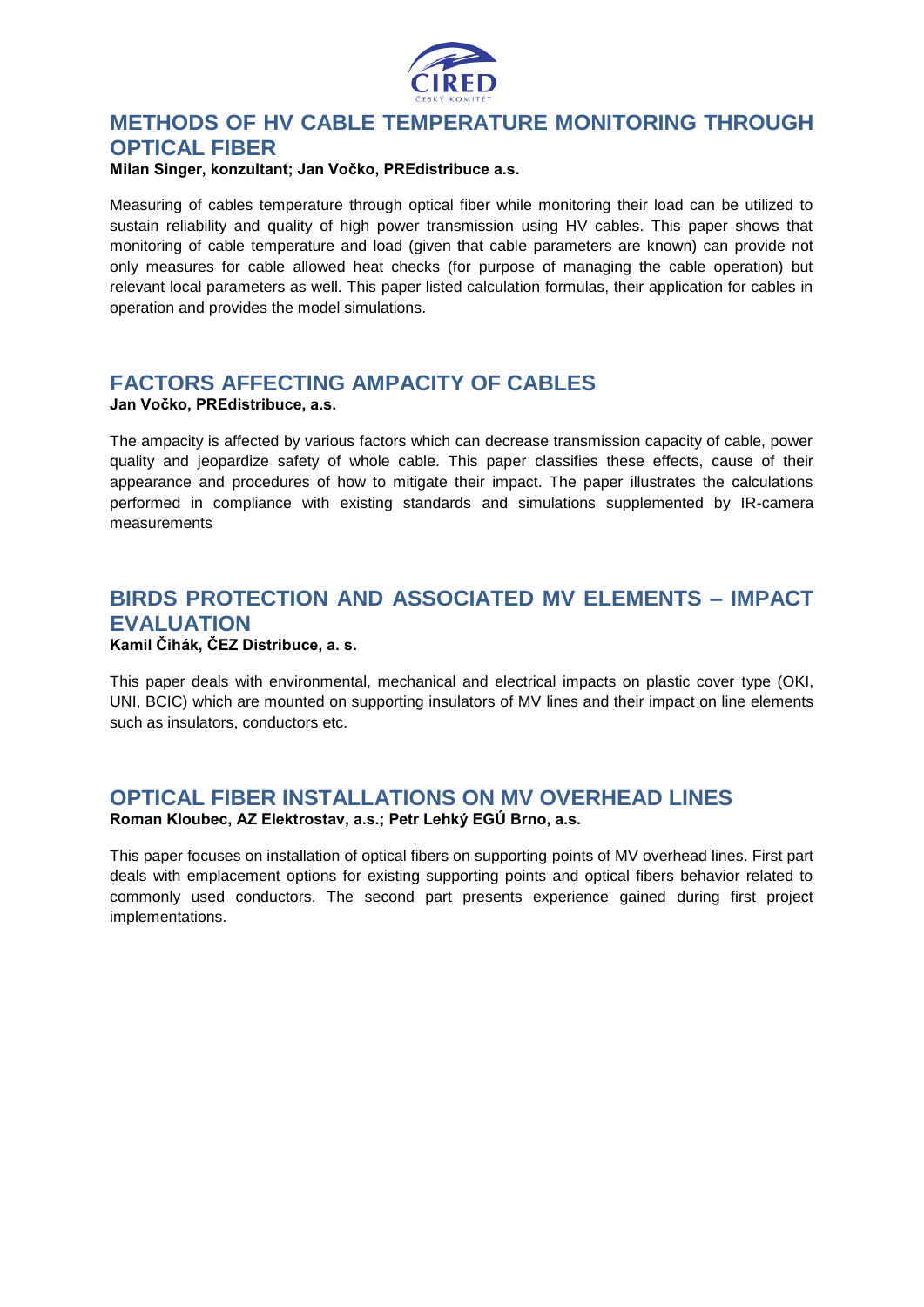

# **METHODS OF HV CABLE TEMPERATURE MONITORING THROUGH OPTICAL FIBER**

#### **Milan Singer, konzultant; Jan Vočko, PREdistribuce a.s.**

Measuring of cables temperature through optical fiber while monitoring their load can be utilized to sustain reliability and quality of high power transmission using HV cables. This paper shows that monitoring of cable temperature and load (given that cable parameters are known) can provide not only measures for cable allowed heat checks (for purpose of managing the cable operation) but relevant local parameters as well. This paper listed calculation formulas, their application for cables in operation and provides the model simulations.

# **FACTORS AFFECTING AMPACITY OF CABLES**

#### **Jan Vočko, PREdistribuce, a.s.**

The ampacity is affected by various factors which can decrease transmission capacity of cable, power quality and jeopardize safety of whole cable. This paper classifies these effects, cause of their appearance and procedures of how to mitigate their impact. The paper illustrates the calculations performed in compliance with existing standards and simulations supplemented by IR-camera measurements

# **BIRDS PROTECTION AND ASSOCIATED MV ELEMENTS – IMPACT EVALUATION**

#### **Kamil Čihák, ČEZ Distribuce, a. s.**

This paper deals with environmental, mechanical and electrical impacts on plastic cover type (OKI, UNI, BCIC) which are mounted on supporting insulators of MV lines and their impact on line elements such as insulators, conductors etc.

#### **OPTICAL FIBER INSTALLATIONS ON MV OVERHEAD LINES Roman Kloubec, AZ Elektrostav, a.s.; Petr Lehký EGÚ Brno, a.s.**

This paper focuses on installation of optical fibers on supporting points of MV overhead lines. First part deals with emplacement options for existing supporting points and optical fibers behavior related to commonly used conductors. The second part presents experience gained during first project implementations.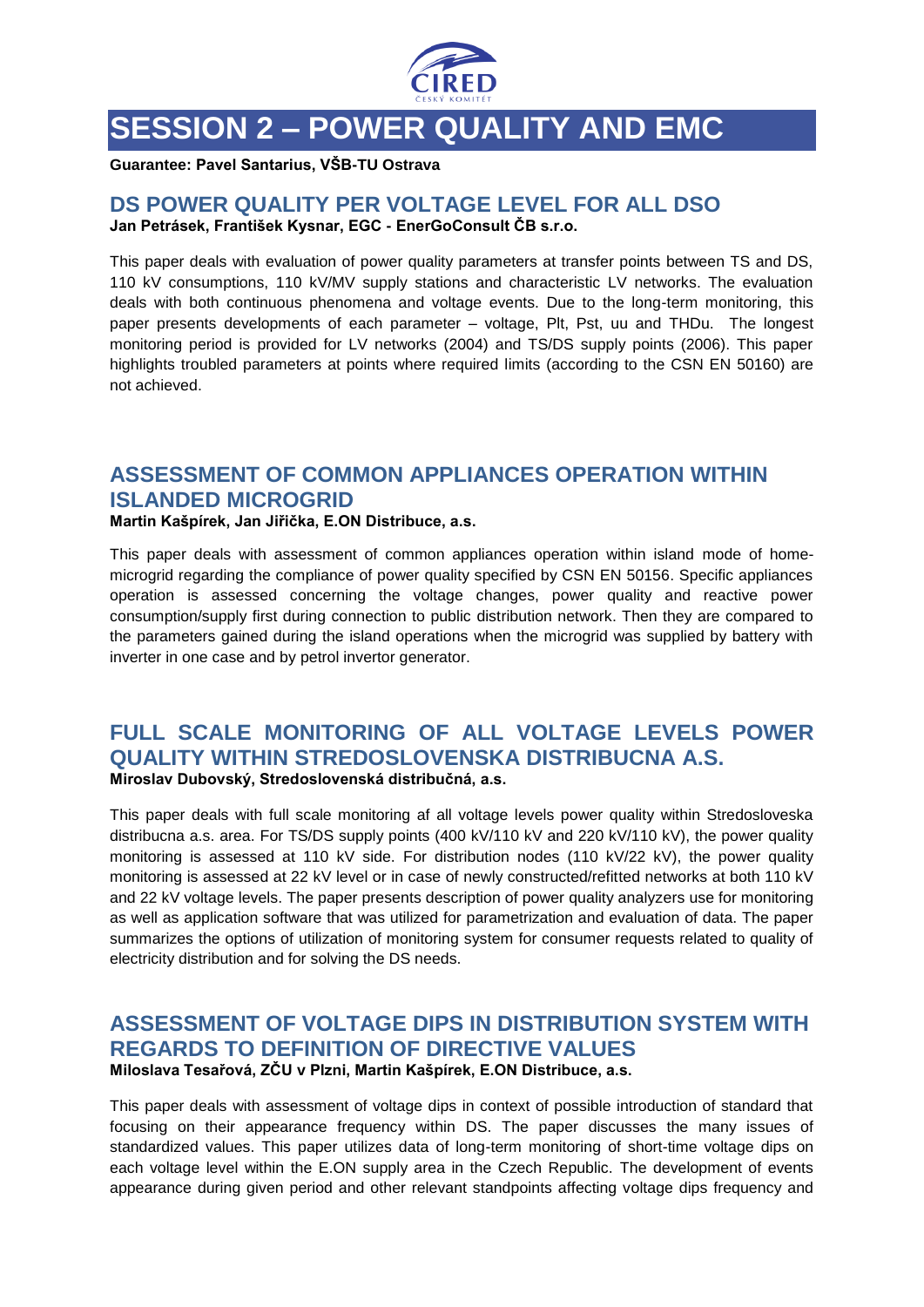

# **SESSION 2 – POWER QUALITY AND EMC**

**Guarantee: Pavel Santarius, VŠB-TU Ostrava**

#### **DS POWER QUALITY PER VOLTAGE LEVEL FOR ALL DSO Jan Petrásek, František Kysnar, EGC - EnerGoConsult ČB s.r.o.**

This paper deals with evaluation of power quality parameters at transfer points between TS and DS, 110 kV consumptions, 110 kV/MV supply stations and characteristic LV networks. The evaluation deals with both continuous phenomena and voltage events. Due to the long-term monitoring, this paper presents developments of each parameter – voltage, Plt, Pst, uu and THDu. The longest monitoring period is provided for LV networks (2004) and TS/DS supply points (2006). This paper highlights troubled parameters at points where required limits (according to the CSN EN 50160) are not achieved.

# **ASSESSMENT OF COMMON APPLIANCES OPERATION WITHIN ISLANDED MICROGRID**

#### **Martin Kašpírek, Jan Jiřička, E.ON Distribuce, a.s.**

This paper deals with assessment of common appliances operation within island mode of homemicrogrid regarding the compliance of power quality specified by CSN EN 50156. Specific appliances operation is assessed concerning the voltage changes, power quality and reactive power consumption/supply first during connection to public distribution network. Then they are compared to the parameters gained during the island operations when the microgrid was supplied by battery with inverter in one case and by petrol invertor generator.

#### **FULL SCALE MONITORING OF ALL VOLTAGE LEVELS POWER QUALITY WITHIN STREDOSLOVENSKA DISTRIBUCNA A.S. Miroslav Dubovský, Stredoslovenská distribučná, a.s.**

This paper deals with full scale monitoring af all voltage levels power quality within Stredosloveska distribucna a.s. area. For TS/DS supply points (400 kV/110 kV and 220 kV/110 kV), the power quality monitoring is assessed at 110 kV side. For distribution nodes (110 kV/22 kV), the power quality monitoring is assessed at 22 kV level or in case of newly constructed/refitted networks at both 110 kV and 22 kV voltage levels. The paper presents description of power quality analyzers use for monitoring as well as application software that was utilized for parametrization and evaluation of data. The paper summarizes the options of utilization of monitoring system for consumer requests related to quality of electricity distribution and for solving the DS needs.

#### **ASSESSMENT OF VOLTAGE DIPS IN DISTRIBUTION SYSTEM WITH REGARDS TO DEFINITION OF DIRECTIVE VALUES Miloslava Tesařová, ZČU v Plzni, Martin Kašpírek, E.ON Distribuce, a.s.**

This paper deals with assessment of voltage dips in context of possible introduction of standard that focusing on their appearance frequency within DS. The paper discusses the many issues of standardized values. This paper utilizes data of long-term monitoring of short-time voltage dips on each voltage level within the E.ON supply area in the Czech Republic. The development of events appearance during given period and other relevant standpoints affecting voltage dips frequency and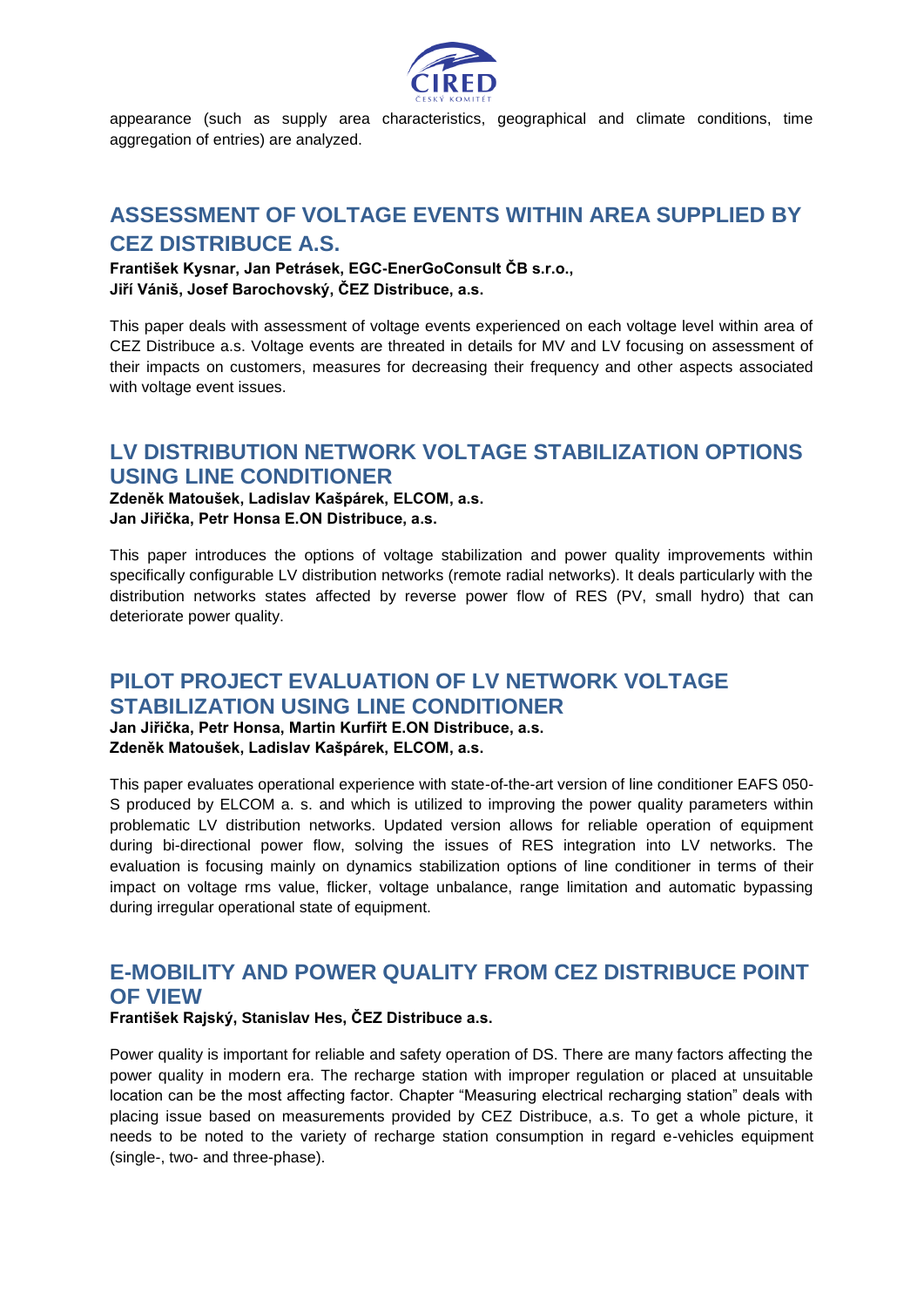

appearance (such as supply area characteristics, geographical and climate conditions, time aggregation of entries) are analyzed.

# **ASSESSMENT OF VOLTAGE EVENTS WITHIN AREA SUPPLIED BY CEZ DISTRIBUCE A.S.**

**František Kysnar, Jan Petrásek, EGC-EnerGoConsult ČB s.r.o., Jiří Vániš, Josef Barochovský, ČEZ Distribuce, a.s.**

This paper deals with assessment of voltage events experienced on each voltage level within area of CEZ Distribuce a.s. Voltage events are threated in details for MV and LV focusing on assessment of their impacts on customers, measures for decreasing their frequency and other aspects associated with voltage event issues.

## **LV DISTRIBUTION NETWORK VOLTAGE STABILIZATION OPTIONS USING LINE CONDITIONER**

#### **Zdeněk Matoušek, Ladislav Kašpárek, ELCOM, a.s. Jan Jiřička, Petr Honsa E.ON Distribuce, a.s.**

This paper introduces the options of voltage stabilization and power quality improvements within specifically configurable LV distribution networks (remote radial networks). It deals particularly with the distribution networks states affected by reverse power flow of RES (PV, small hydro) that can deteriorate power quality.

#### **PILOT PROJECT EVALUATION OF LV NETWORK VOLTAGE STABILIZATION USING LINE CONDITIONER**

**Jan Jiřička, Petr Honsa, Martin Kurfiřt E.ON Distribuce, a.s. Zdeněk Matoušek, Ladislav Kašpárek, ELCOM, a.s.**

This paper evaluates operational experience with state-of-the-art version of line conditioner EAFS 050- S produced by ELCOM a. s. and which is utilized to improving the power quality parameters within problematic LV distribution networks. Updated version allows for reliable operation of equipment during bi-directional power flow, solving the issues of RES integration into LV networks. The evaluation is focusing mainly on dynamics stabilization options of line conditioner in terms of their impact on voltage rms value, flicker, voltage unbalance, range limitation and automatic bypassing during irregular operational state of equipment.

# **E-MOBILITY AND POWER QUALITY FROM CEZ DISTRIBUCE POINT OF VIEW**

#### **František Rajský, Stanislav Hes, ČEZ Distribuce a.s.**

Power quality is important for reliable and safety operation of DS. There are many factors affecting the power quality in modern era. The recharge station with improper regulation or placed at unsuitable location can be the most affecting factor. Chapter "Measuring electrical recharging station" deals with placing issue based on measurements provided by CEZ Distribuce, a.s. To get a whole picture, it needs to be noted to the variety of recharge station consumption in regard e-vehicles equipment (single-, two- and three-phase).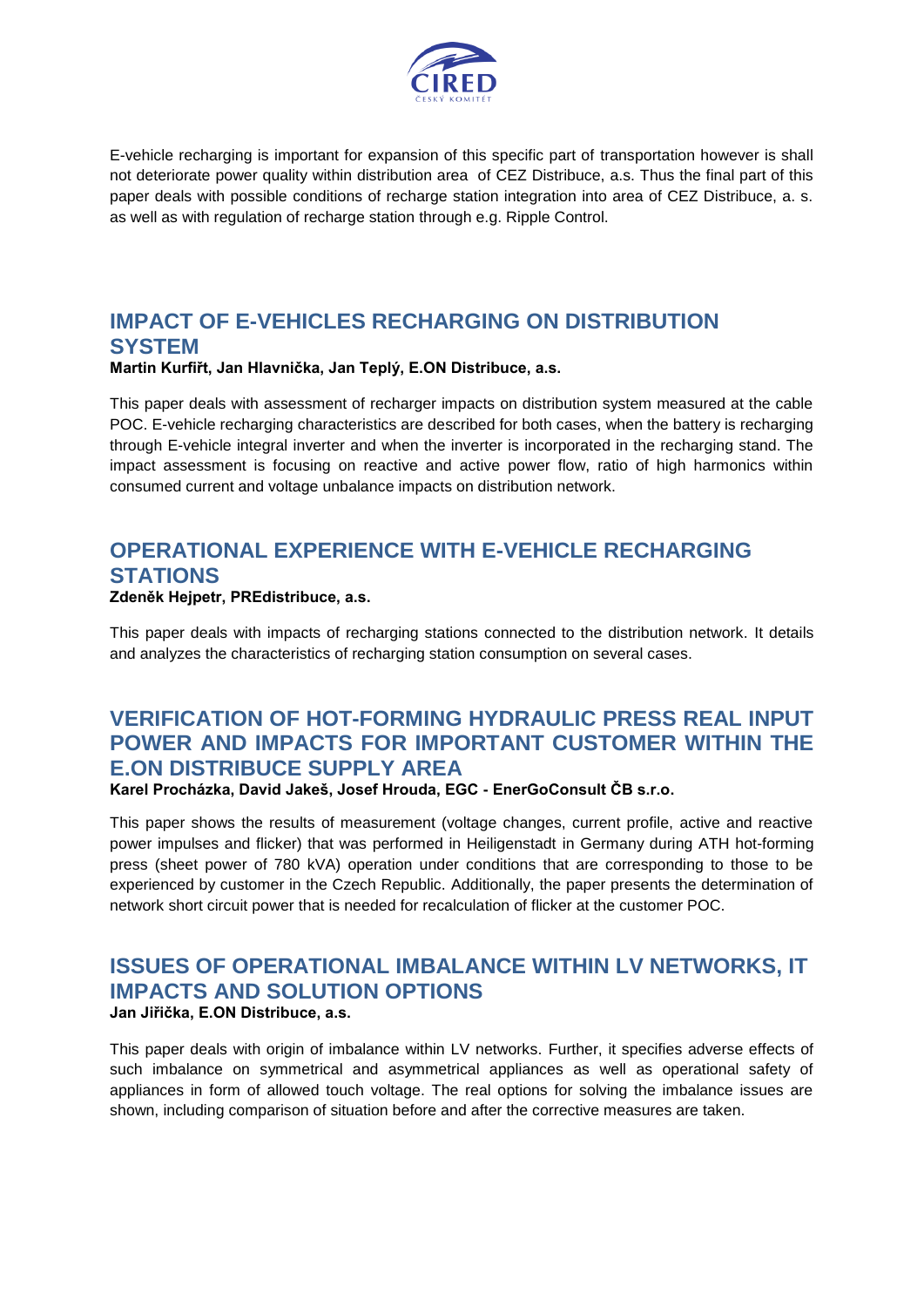

E-vehicle recharging is important for expansion of this specific part of transportation however is shall not deteriorate power quality within distribution area of CEZ Distribuce, a.s. Thus the final part of this paper deals with possible conditions of recharge station integration into area of CEZ Distribuce, a. s. as well as with regulation of recharge station through e.g. Ripple Control.

# **IMPACT OF E-VEHICLES RECHARGING ON DISTRIBUTION SYSTEM**

#### **Martin Kurfiřt, Jan Hlavnička, Jan Teplý, E.ON Distribuce, a.s.**

This paper deals with assessment of recharger impacts on distribution system measured at the cable POC. E-vehicle recharging characteristics are described for both cases, when the battery is recharging through E-vehicle integral inverter and when the inverter is incorporated in the recharging stand. The impact assessment is focusing on reactive and active power flow, ratio of high harmonics within consumed current and voltage unbalance impacts on distribution network.

# **OPERATIONAL EXPERIENCE WITH E-VEHICLE RECHARGING STATIONS**

#### **Zdeněk Hejpetr, PREdistribuce, a.s.**

This paper deals with impacts of recharging stations connected to the distribution network. It details and analyzes the characteristics of recharging station consumption on several cases.

# **VERIFICATION OF HOT-FORMING HYDRAULIC PRESS REAL INPUT POWER AND IMPACTS FOR IMPORTANT CUSTOMER WITHIN THE E.ON DISTRIBUCE SUPPLY AREA**

**Karel Procházka, David Jakeš, Josef Hrouda, EGC - EnerGoConsult ČB s.r.o.**

This paper shows the results of measurement (voltage changes, current profile, active and reactive power impulses and flicker) that was performed in Heiligenstadt in Germany during ATH hot-forming press (sheet power of 780 kVA) operation under conditions that are corresponding to those to be experienced by customer in the Czech Republic. Additionally, the paper presents the determination of network short circuit power that is needed for recalculation of flicker at the customer POC.

#### **ISSUES OF OPERATIONAL IMBALANCE WITHIN LV NETWORKS, IT IMPACTS AND SOLUTION OPTIONS Jan Jiřička, E.ON Distribuce, a.s.**

This paper deals with origin of imbalance within LV networks. Further, it specifies adverse effects of such imbalance on symmetrical and asymmetrical appliances as well as operational safety of appliances in form of allowed touch voltage. The real options for solving the imbalance issues are shown, including comparison of situation before and after the corrective measures are taken.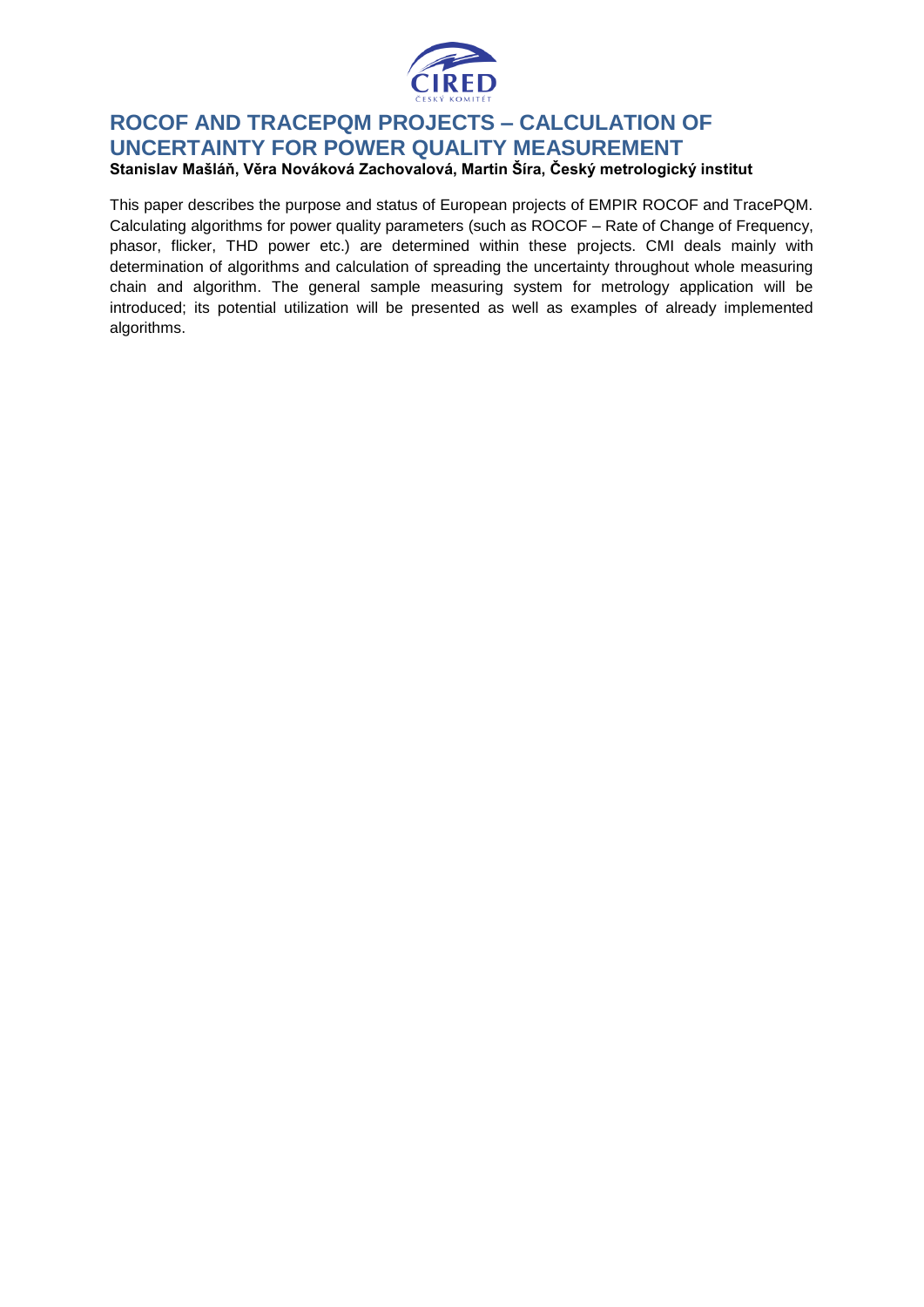

#### **ROCOF AND TRACEPQM PROJECTS – CALCULATION OF UNCERTAINTY FOR POWER QUALITY MEASUREMENT Stanislav Mašláň, Věra Nováková Zachovalová, Martin Šíra, Český metrologický institut**

This paper describes the purpose and status of European projects of EMPIR ROCOF and TracePQM. Calculating algorithms for power quality parameters (such as ROCOF – Rate of Change of Frequency, phasor, flicker, THD power etc.) are determined within these projects. CMI deals mainly with determination of algorithms and calculation of spreading the uncertainty throughout whole measuring chain and algorithm. The general sample measuring system for metrology application will be introduced; its potential utilization will be presented as well as examples of already implemented algorithms.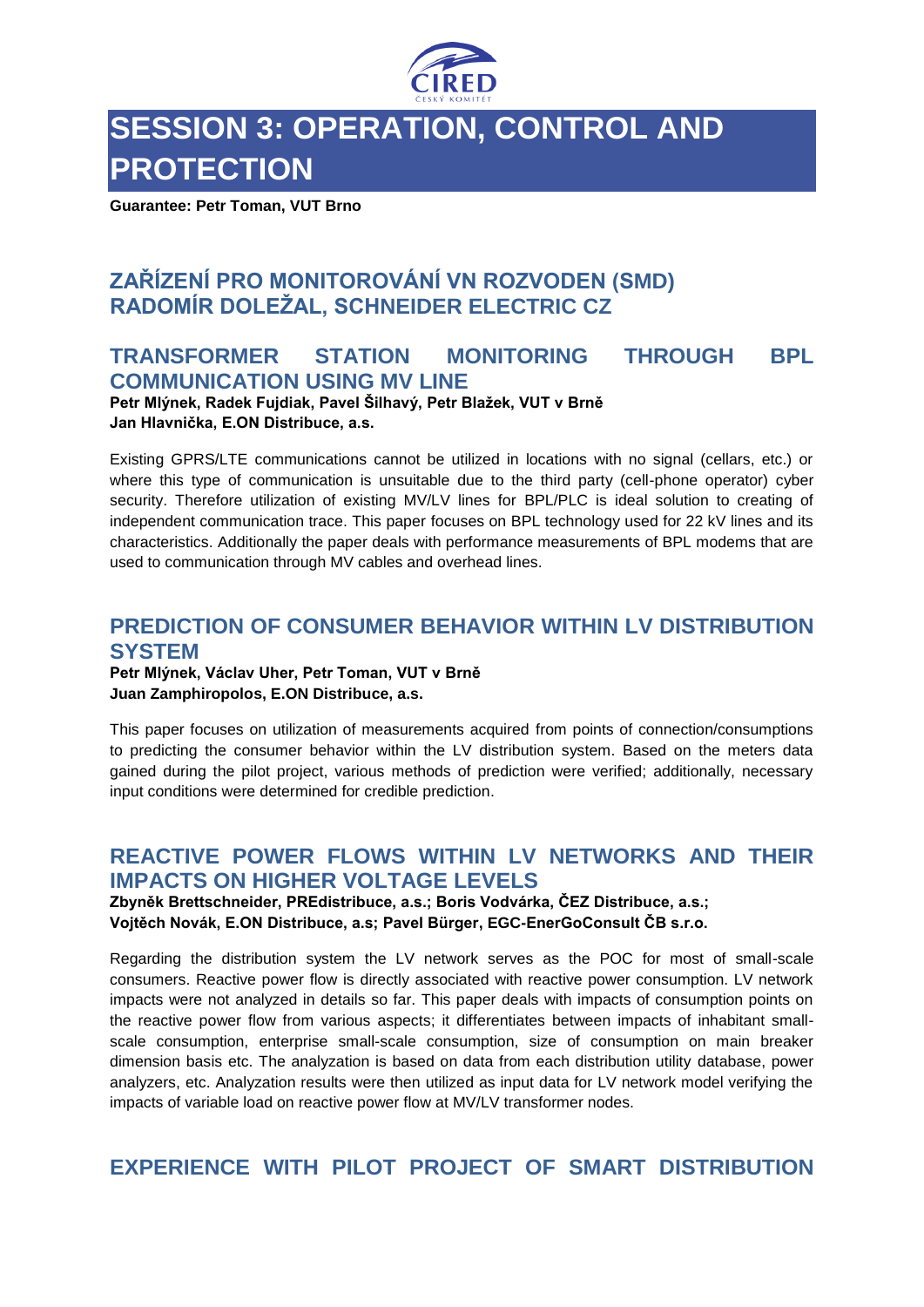

# **SESSION 3: OPERATION, CONTROL AND PROTECTION**

**Guarantee: Petr Toman, VUT Brno**

# **ZAŘÍZENÍ PRO MONITOROVÁNÍ VN ROZVODEN (SMD) RADOMÍR DOLEŽAL, SCHNEIDER ELECTRIC CZ**

# **TRANSFORMER STATION MONITORING THROUGH BPL COMMUNICATION USING MV LINE**

**Petr Mlýnek, Radek Fujdiak, Pavel Šilhavý, Petr Blažek, VUT v Brně Jan Hlavnička, E.ON Distribuce, a.s.**

Existing GPRS/LTE communications cannot be utilized in locations with no signal (cellars, etc.) or where this type of communication is unsuitable due to the third party (cell-phone operator) cyber security. Therefore utilization of existing MV/LV lines for BPL/PLC is ideal solution to creating of independent communication trace. This paper focuses on BPL technology used for 22 kV lines and its characteristics. Additionally the paper deals with performance measurements of BPL modems that are used to communication through MV cables and overhead lines.

### **PREDICTION OF CONSUMER BEHAVIOR WITHIN LV DISTRIBUTION SYSTEM**

**Petr Mlýnek, Václav Uher, Petr Toman, VUT v Brně Juan Zamphiropolos, E.ON Distribuce, a.s.**

This paper focuses on utilization of measurements acquired from points of connection/consumptions to predicting the consumer behavior within the LV distribution system. Based on the meters data gained during the pilot project, various methods of prediction were verified; additionally, necessary input conditions were determined for credible prediction.

# **REACTIVE POWER FLOWS WITHIN LV NETWORKS AND THEIR IMPACTS ON HIGHER VOLTAGE LEVELS**

**Zbyněk Brettschneider, PREdistribuce, a.s.; Boris Vodvárka, ČEZ Distribuce, a.s.; Vojtěch Novák, E.ON Distribuce, a.s; Pavel Bürger, EGC-EnerGoConsult ČB s.r.o.**

Regarding the distribution system the LV network serves as the POC for most of small-scale consumers. Reactive power flow is directly associated with reactive power consumption. LV network impacts were not analyzed in details so far. This paper deals with impacts of consumption points on the reactive power flow from various aspects; it differentiates between impacts of inhabitant smallscale consumption, enterprise small-scale consumption, size of consumption on main breaker dimension basis etc. The analyzation is based on data from each distribution utility database, power analyzers, etc. Analyzation results were then utilized as input data for LV network model verifying the impacts of variable load on reactive power flow at MV/LV transformer nodes.

**EXPERIENCE WITH PILOT PROJECT OF SMART DISTRIBUTION**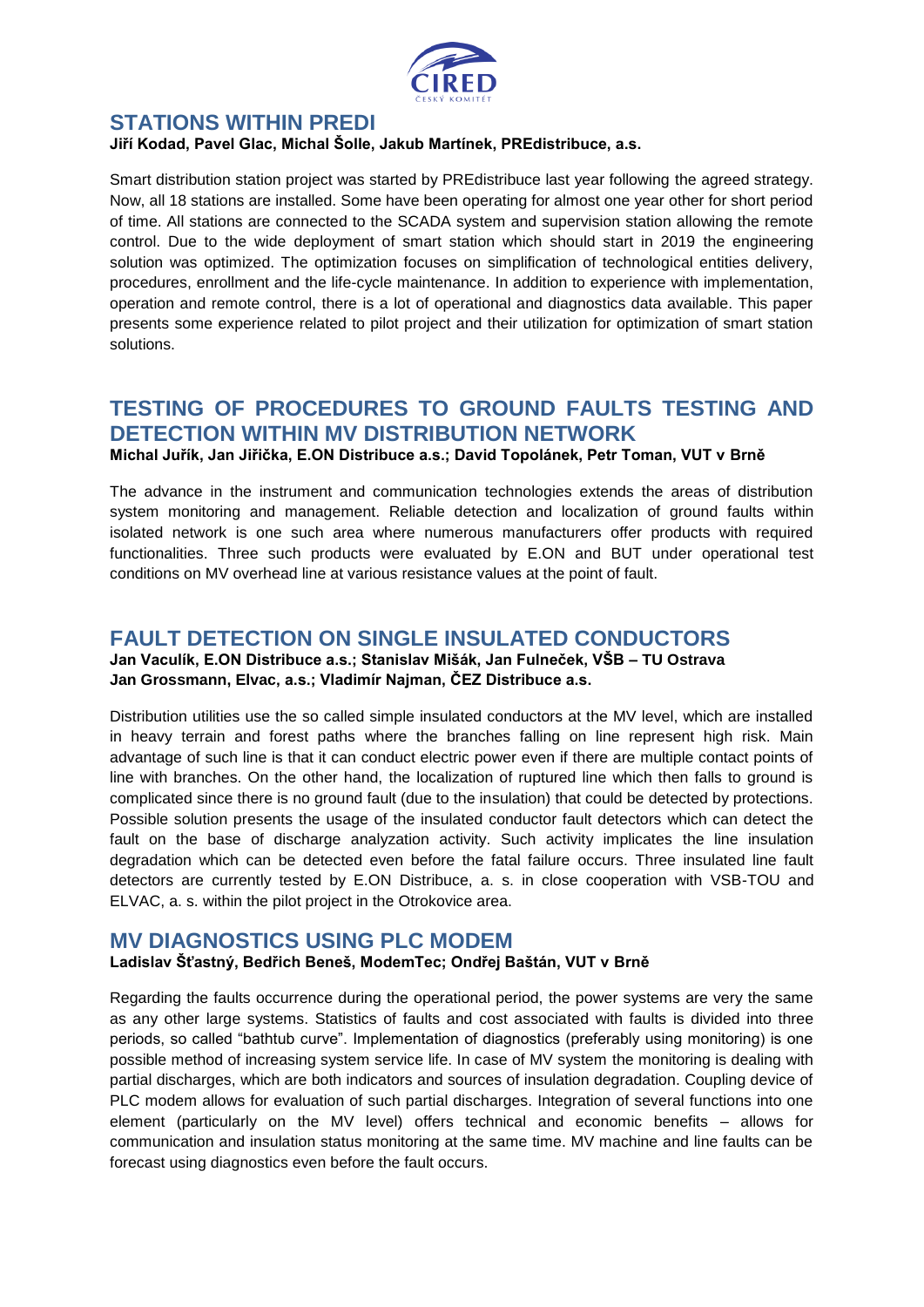

### **STATIONS WITHIN PREDI**

#### **Jiří Kodad, Pavel Glac, Michal Šolle, Jakub Martínek, PREdistribuce, a.s.**

Smart distribution station project was started by PREdistribuce last year following the agreed strategy. Now, all 18 stations are installed. Some have been operating for almost one year other for short period of time. All stations are connected to the SCADA system and supervision station allowing the remote control. Due to the wide deployment of smart station which should start in 2019 the engineering solution was optimized. The optimization focuses on simplification of technological entities delivery, procedures, enrollment and the life-cycle maintenance. In addition to experience with implementation, operation and remote control, there is a lot of operational and diagnostics data available. This paper presents some experience related to pilot project and their utilization for optimization of smart station solutions.

# **TESTING OF PROCEDURES TO GROUND FAULTS TESTING AND DETECTION WITHIN MV DISTRIBUTION NETWORK**

**Michal Juřík, Jan Jiřička, E.ON Distribuce a.s.; David Topolánek, Petr Toman, VUT v Brně**

The advance in the instrument and communication technologies extends the areas of distribution system monitoring and management. Reliable detection and localization of ground faults within isolated network is one such area where numerous manufacturers offer products with required functionalities. Three such products were evaluated by E.ON and BUT under operational test conditions on MV overhead line at various resistance values at the point of fault.

# **FAULT DETECTION ON SINGLE INSULATED CONDUCTORS**

#### **Jan Vaculík, E.ON Distribuce a.s.; Stanislav Mišák, Jan Fulneček, VŠB – TU Ostrava Jan Grossmann, Elvac, a.s.; Vladimír Najman, ČEZ Distribuce a.s.**

Distribution utilities use the so called simple insulated conductors at the MV level, which are installed in heavy terrain and forest paths where the branches falling on line represent high risk. Main advantage of such line is that it can conduct electric power even if there are multiple contact points of line with branches. On the other hand, the localization of ruptured line which then falls to ground is complicated since there is no ground fault (due to the insulation) that could be detected by protections. Possible solution presents the usage of the insulated conductor fault detectors which can detect the fault on the base of discharge analyzation activity. Such activity implicates the line insulation degradation which can be detected even before the fatal failure occurs. Three insulated line fault detectors are currently tested by E.ON Distribuce, a. s. in close cooperation with VSB-TOU and ELVAC, a. s. within the pilot project in the Otrokovice area.

#### **MV DIAGNOSTICS USING PLC MODEM**

#### **Ladislav Šťastný, Bedřich Beneš, ModemTec; Ondřej Baštán, VUT v Brně**

Regarding the faults occurrence during the operational period, the power systems are very the same as any other large systems. Statistics of faults and cost associated with faults is divided into three periods, so called "bathtub curve". Implementation of diagnostics (preferably using monitoring) is one possible method of increasing system service life. In case of MV system the monitoring is dealing with partial discharges, which are both indicators and sources of insulation degradation. Coupling device of PLC modem allows for evaluation of such partial discharges. Integration of several functions into one element (particularly on the MV level) offers technical and economic benefits – allows for communication and insulation status monitoring at the same time. MV machine and line faults can be forecast using diagnostics even before the fault occurs.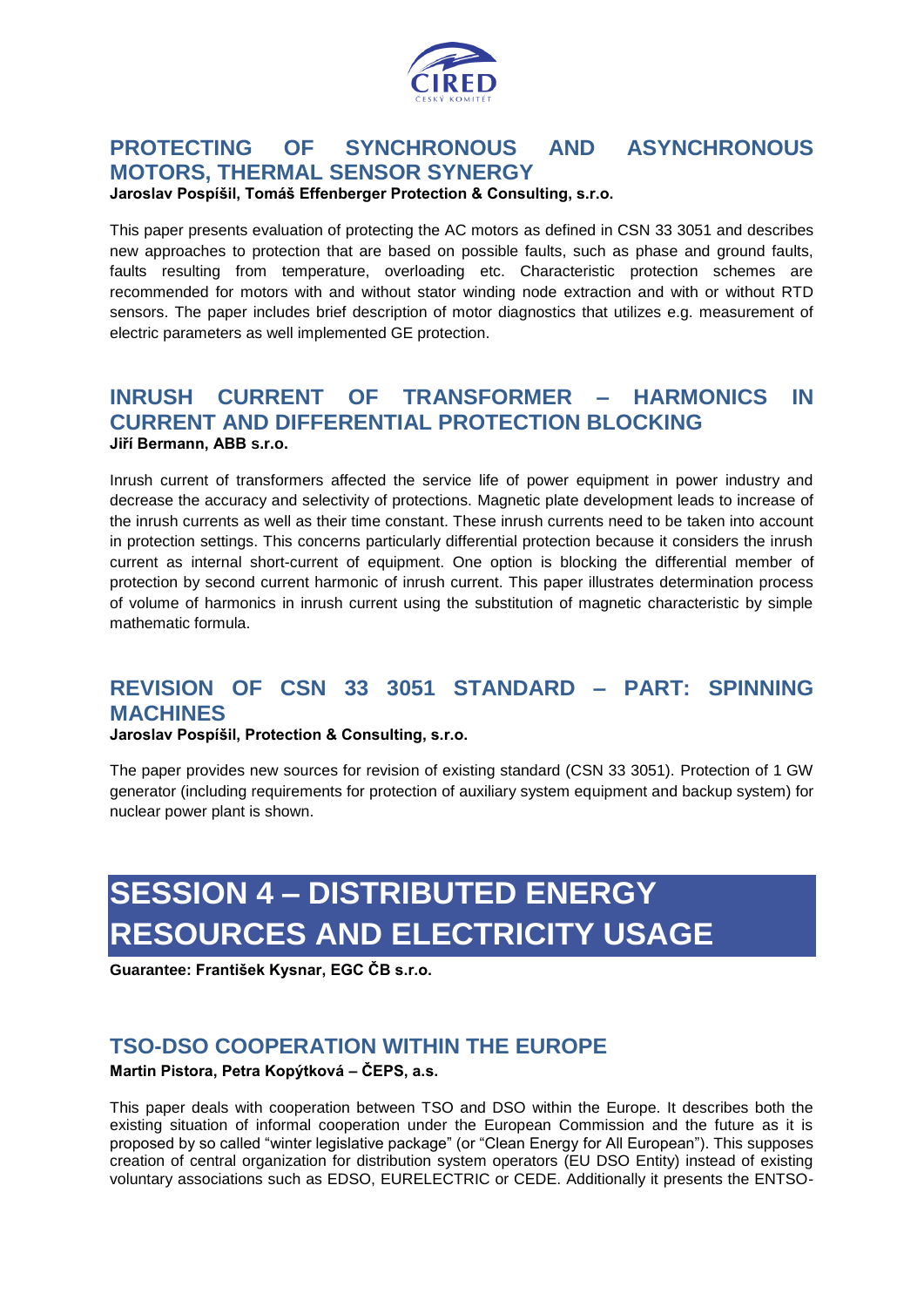

# **PROTECTING OF SYNCHRONOUS AND ASYNCHRONOUS MOTORS, THERMAL SENSOR SYNERGY**

**Jaroslav Pospíšil, Tomáš Effenberger Protection & Consulting, s.r.o.**

This paper presents evaluation of protecting the AC motors as defined in CSN 33 3051 and describes new approaches to protection that are based on possible faults, such as phase and ground faults, faults resulting from temperature, overloading etc. Characteristic protection schemes are recommended for motors with and without stator winding node extraction and with or without RTD sensors. The paper includes brief description of motor diagnostics that utilizes e.g. measurement of electric parameters as well implemented GE protection.

#### **INRUSH CURRENT OF TRANSFORMER – HARMONICS IN CURRENT AND DIFFERENTIAL PROTECTION BLOCKING Jiří Bermann, ABB s.r.o.**

Inrush current of transformers affected the service life of power equipment in power industry and decrease the accuracy and selectivity of protections. Magnetic plate development leads to increase of the inrush currents as well as their time constant. These inrush currents need to be taken into account in protection settings. This concerns particularly differential protection because it considers the inrush current as internal short-current of equipment. One option is blocking the differential member of protection by second current harmonic of inrush current. This paper illustrates determination process of volume of harmonics in inrush current using the substitution of magnetic characteristic by simple mathematic formula.

# **REVISION OF CSN 33 3051 STANDARD – PART: SPINNING MACHINES**

**Jaroslav Pospíšil, Protection & Consulting, s.r.o.**

The paper provides new sources for revision of existing standard (CSN 33 3051). Protection of 1 GW generator (including requirements for protection of auxiliary system equipment and backup system) for nuclear power plant is shown.

# **SESSION 4 – DISTRIBUTED ENERGY RESOURCES AND ELECTRICITY USAGE**

**Guarantee: František Kysnar, EGC ČB s.r.o.**

# **TSO-DSO COOPERATION WITHIN THE EUROPE**

**Martin Pistora, Petra Kopýtková – ČEPS, a.s.**

This paper deals with cooperation between TSO and DSO within the Europe. It describes both the existing situation of informal cooperation under the European Commission and the future as it is proposed by so called "winter legislative package" (or "Clean Energy for All European"). This supposes creation of central organization for distribution system operators (EU DSO Entity) instead of existing voluntary associations such as EDSO, EURELECTRIC or CEDE. Additionally it presents the ENTSO-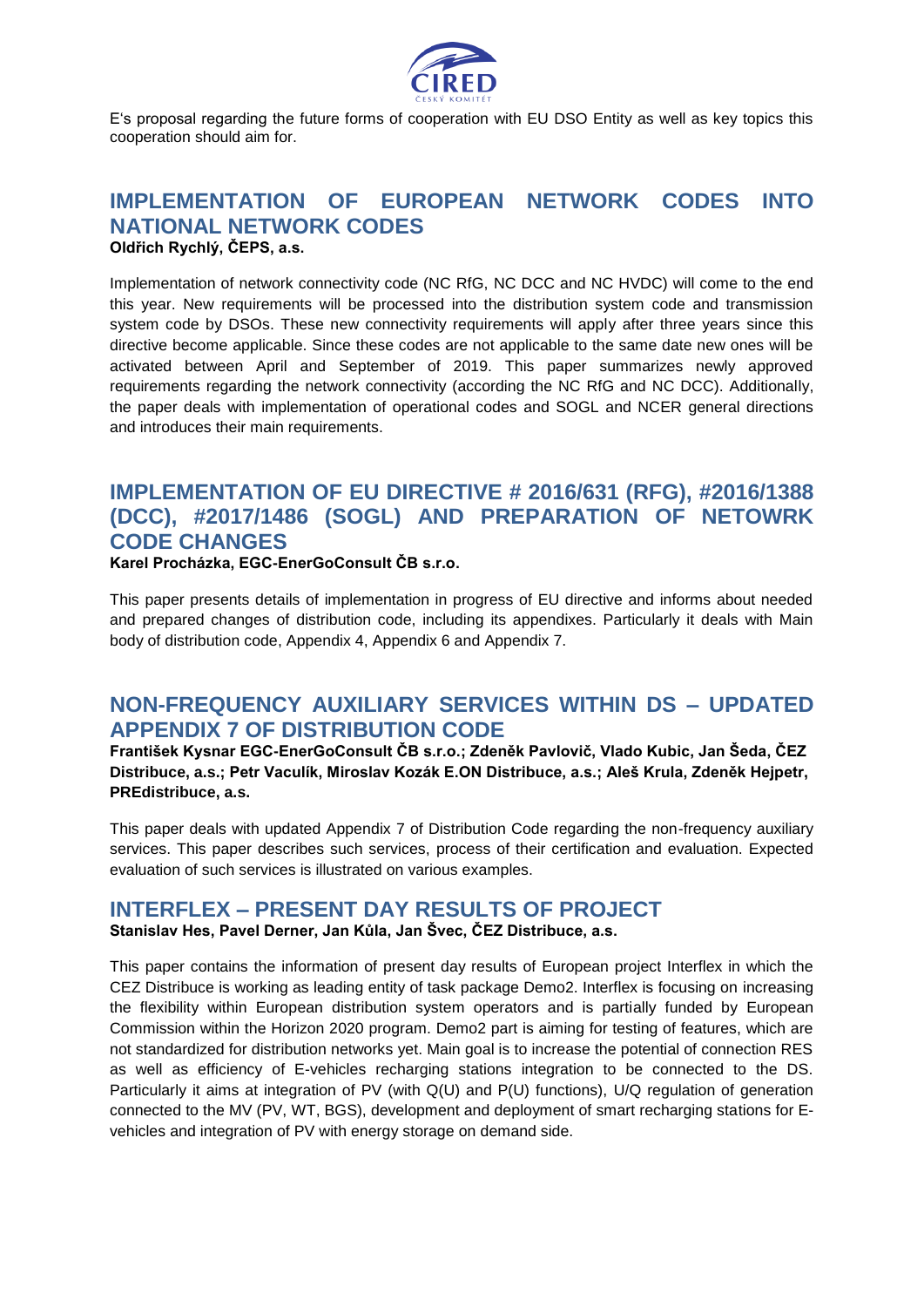

E's proposal regarding the future forms of cooperation with EU DSO Entity as well as key topics this cooperation should aim for.

#### **IMPLEMENTATION OF EUROPEAN NETWORK CODES INTO NATIONAL NETWORK CODES Oldřich Rychlý, ČEPS, a.s.**

Implementation of network connectivity code (NC RfG, NC DCC and NC HVDC) will come to the end this year. New requirements will be processed into the distribution system code and transmission system code by DSOs. These new connectivity requirements will apply after three years since this directive become applicable. Since these codes are not applicable to the same date new ones will be activated between April and September of 2019. This paper summarizes newly approved requirements regarding the network connectivity (according the NC RfG and NC DCC). Additionally, the paper deals with implementation of operational codes and SOGL and NCER general directions and introduces their main requirements.

# **IMPLEMENTATION OF EU DIRECTIVE # 2016/631 (RFG), #2016/1388 (DCC), #2017/1486 (SOGL) AND PREPARATION OF NETOWRK CODE CHANGES**

**Karel Procházka, EGC-EnerGoConsult ČB s.r.o.**

This paper presents details of implementation in progress of EU directive and informs about needed and prepared changes of distribution code, including its appendixes. Particularly it deals with Main body of distribution code, Appendix 4, Appendix 6 and Appendix 7.

### **NON-FREQUENCY AUXILIARY SERVICES WITHIN DS – UPDATED APPENDIX 7 OF DISTRIBUTION CODE**

**František Kysnar EGC-EnerGoConsult ČB s.r.o.; Zdeněk Pavlovič, Vlado Kubic, Jan Šeda, ČEZ Distribuce, a.s.; Petr Vaculík, Miroslav Kozák E.ON Distribuce, a.s.; Aleš Krula, Zdeněk Hejpetr, PREdistribuce, a.s.**

This paper deals with updated Appendix 7 of Distribution Code regarding the non-frequency auxiliary services. This paper describes such services, process of their certification and evaluation. Expected evaluation of such services is illustrated on various examples.

#### **INTERFLEX – PRESENT DAY RESULTS OF PROJECT Stanislav Hes, Pavel Derner, Jan Kůla, Jan Švec, ČEZ Distribuce, a.s.**

This paper contains the information of present day results of European project Interflex in which the CEZ Distribuce is working as leading entity of task package Demo2. Interflex is focusing on increasing the flexibility within European distribution system operators and is partially funded by European Commission within the Horizon 2020 program. Demo2 part is aiming for testing of features, which are not standardized for distribution networks yet. Main goal is to increase the potential of connection RES as well as efficiency of E-vehicles recharging stations integration to be connected to the DS. Particularly it aims at integration of PV (with Q(U) and P(U) functions), U/Q regulation of generation connected to the MV (PV, WT, BGS), development and deployment of smart recharging stations for Evehicles and integration of PV with energy storage on demand side.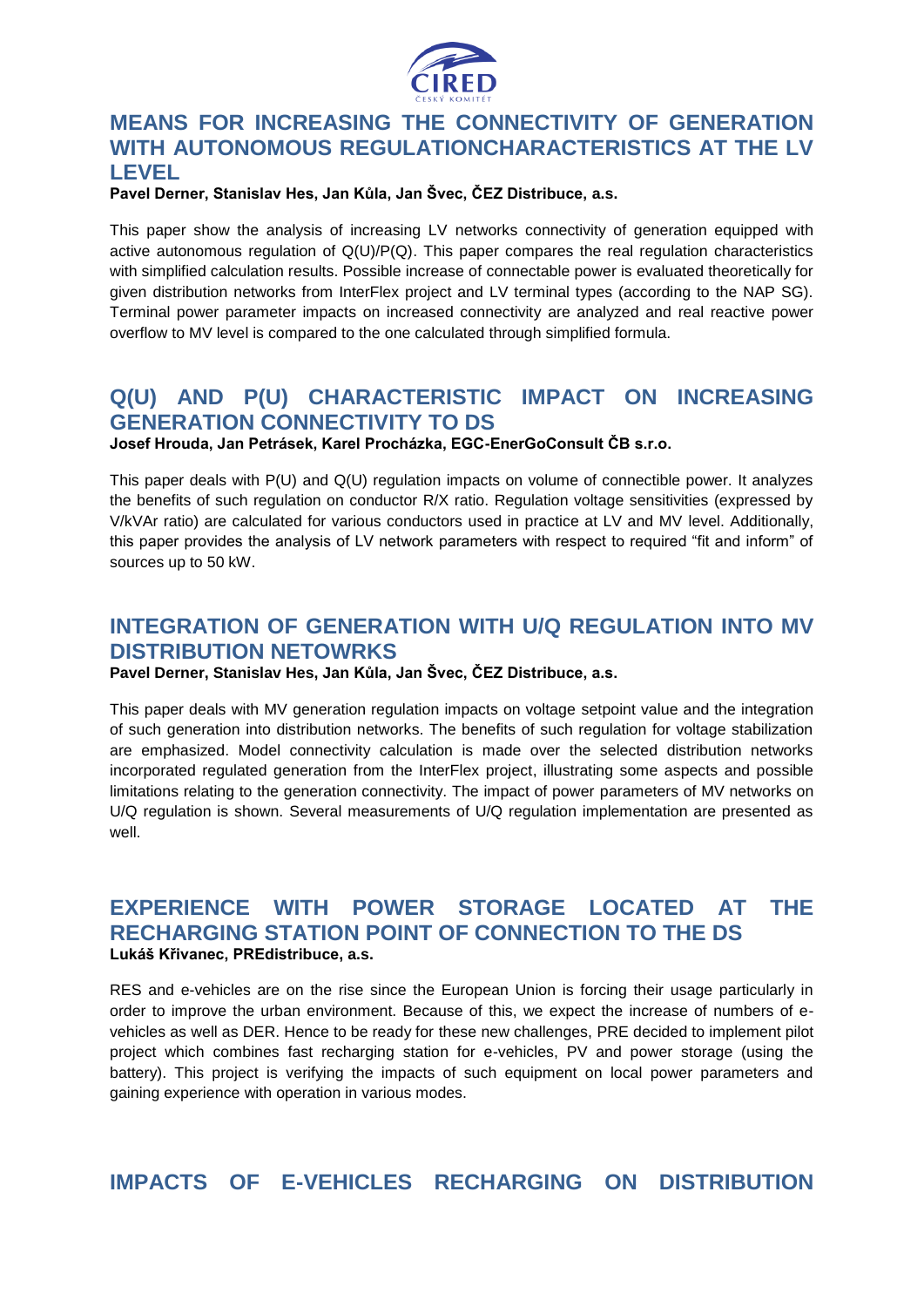

# **MEANS FOR INCREASING THE CONNECTIVITY OF GENERATION WITH AUTONOMOUS REGULATIONCHARACTERISTICS AT THE LV LEVEL**

#### **Pavel Derner, Stanislav Hes, Jan Kůla, Jan Švec, ČEZ Distribuce, a.s.**

This paper show the analysis of increasing LV networks connectivity of generation equipped with active autonomous regulation of Q(U)/P(Q). This paper compares the real regulation characteristics with simplified calculation results. Possible increase of connectable power is evaluated theoretically for given distribution networks from InterFlex project and LV terminal types (according to the NAP SG). Terminal power parameter impacts on increased connectivity are analyzed and real reactive power overflow to MV level is compared to the one calculated through simplified formula.

# **Q(U) AND P(U) CHARACTERISTIC IMPACT ON INCREASING GENERATION CONNECTIVITY TO DS**

**Josef Hrouda, Jan Petrásek, Karel Procházka, EGC-EnerGoConsult ČB s.r.o.**

This paper deals with P(U) and Q(U) regulation impacts on volume of connectible power. It analyzes the benefits of such regulation on conductor R/X ratio. Regulation voltage sensitivities (expressed by V/kVAr ratio) are calculated for various conductors used in practice at LV and MV level. Additionally, this paper provides the analysis of LV network parameters with respect to required "fit and inform" of sources up to 50 kW.

# **INTEGRATION OF GENERATION WITH U/Q REGULATION INTO MV DISTRIBUTION NETOWRKS**

**Pavel Derner, Stanislav Hes, Jan Kůla, Jan Švec, ČEZ Distribuce, a.s.**

This paper deals with MV generation regulation impacts on voltage setpoint value and the integration of such generation into distribution networks. The benefits of such regulation for voltage stabilization are emphasized. Model connectivity calculation is made over the selected distribution networks incorporated regulated generation from the InterFlex project, illustrating some aspects and possible limitations relating to the generation connectivity. The impact of power parameters of MV networks on U/Q regulation is shown. Several measurements of U/Q regulation implementation are presented as well.

### **EXPERIENCE WITH POWER STORAGE LOCATED AT THE RECHARGING STATION POINT OF CONNECTION TO THE DS Lukáš Křivanec, PREdistribuce, a.s.**

RES and e-vehicles are on the rise since the European Union is forcing their usage particularly in order to improve the urban environment. Because of this, we expect the increase of numbers of evehicles as well as DER. Hence to be ready for these new challenges, PRE decided to implement pilot project which combines fast recharging station for e-vehicles, PV and power storage (using the battery). This project is verifying the impacts of such equipment on local power parameters and gaining experience with operation in various modes.

**IMPACTS OF E-VEHICLES RECHARGING ON DISTRIBUTION**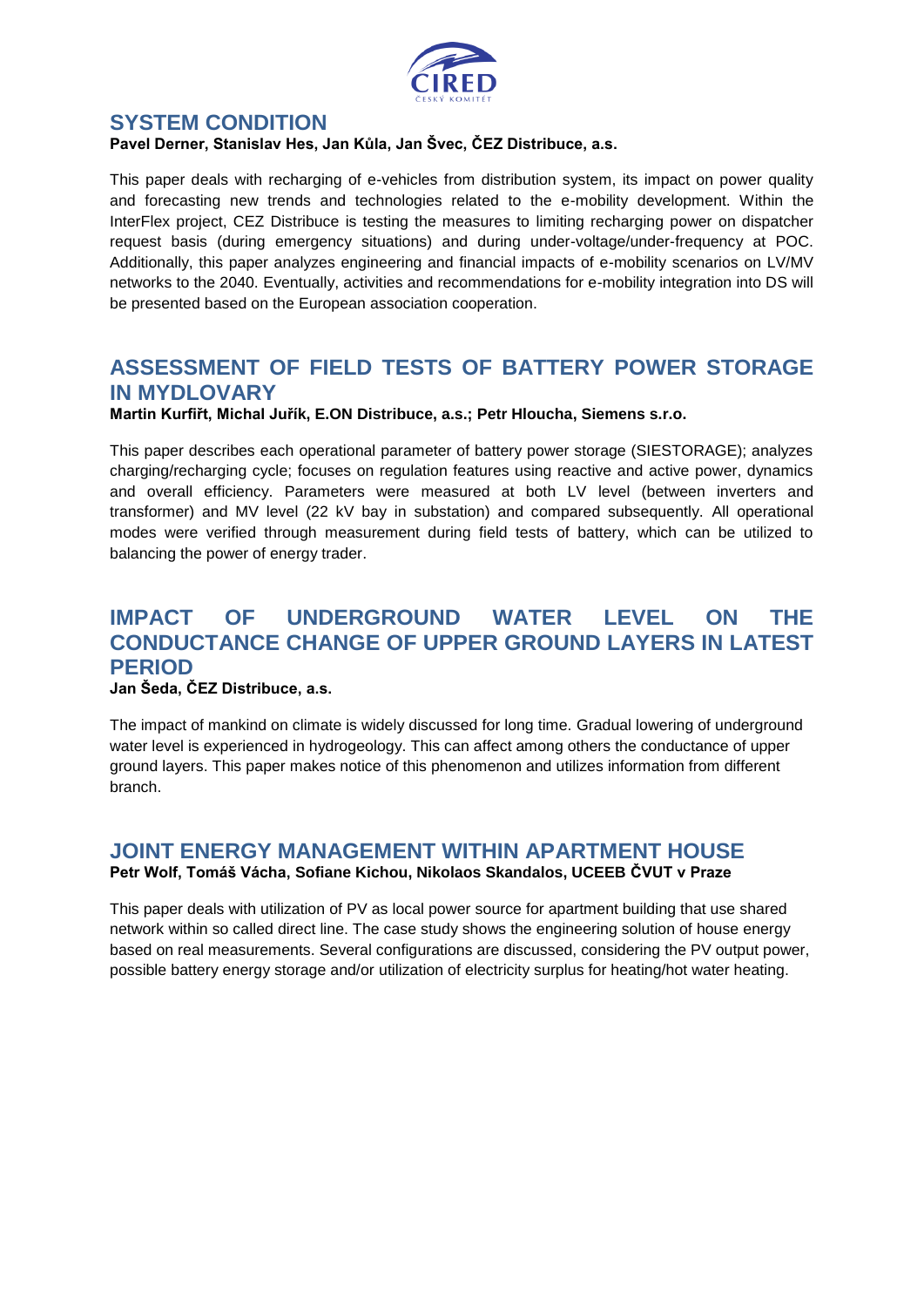

#### **SYSTEM CONDITION**

#### **Pavel Derner, Stanislav Hes, Jan Kůla, Jan Švec, ČEZ Distribuce, a.s.**

This paper deals with recharging of e-vehicles from distribution system, its impact on power quality and forecasting new trends and technologies related to the e-mobility development. Within the InterFlex project, CEZ Distribuce is testing the measures to limiting recharging power on dispatcher request basis (during emergency situations) and during under-voltage/under-frequency at POC. Additionally, this paper analyzes engineering and financial impacts of e-mobility scenarios on LV/MV networks to the 2040. Eventually, activities and recommendations for e-mobility integration into DS will be presented based on the European association cooperation.

# **ASSESSMENT OF FIELD TESTS OF BATTERY POWER STORAGE IN MYDLOVARY**

**Martin Kurfiřt, Michal Juřík, E.ON Distribuce, a.s.; Petr Hloucha, Siemens s.r.o.**

This paper describes each operational parameter of battery power storage (SIESTORAGE); analyzes charging/recharging cycle; focuses on regulation features using reactive and active power, dynamics and overall efficiency. Parameters were measured at both LV level (between inverters and transformer) and MV level (22 kV bay in substation) and compared subsequently. All operational modes were verified through measurement during field tests of battery, which can be utilized to balancing the power of energy trader.

# **IMPACT OF UNDERGROUND WATER LEVEL ON THE CONDUCTANCE CHANGE OF UPPER GROUND LAYERS IN LATEST PERIOD**

#### **Jan Šeda, ČEZ Distribuce, a.s.**

The impact of mankind on climate is widely discussed for long time. Gradual lowering of underground water level is experienced in hydrogeology. This can affect among others the conductance of upper ground layers. This paper makes notice of this phenomenon and utilizes information from different branch.

#### **JOINT ENERGY MANAGEMENT WITHIN APARTMENT HOUSE Petr Wolf, Tomáš Vácha, Sofiane Kichou, Nikolaos Skandalos, UCEEB ČVUT v Praze**

This paper deals with utilization of PV as local power source for apartment building that use shared network within so called direct line. The case study shows the engineering solution of house energy based on real measurements. Several configurations are discussed, considering the PV output power, possible battery energy storage and/or utilization of electricity surplus for heating/hot water heating.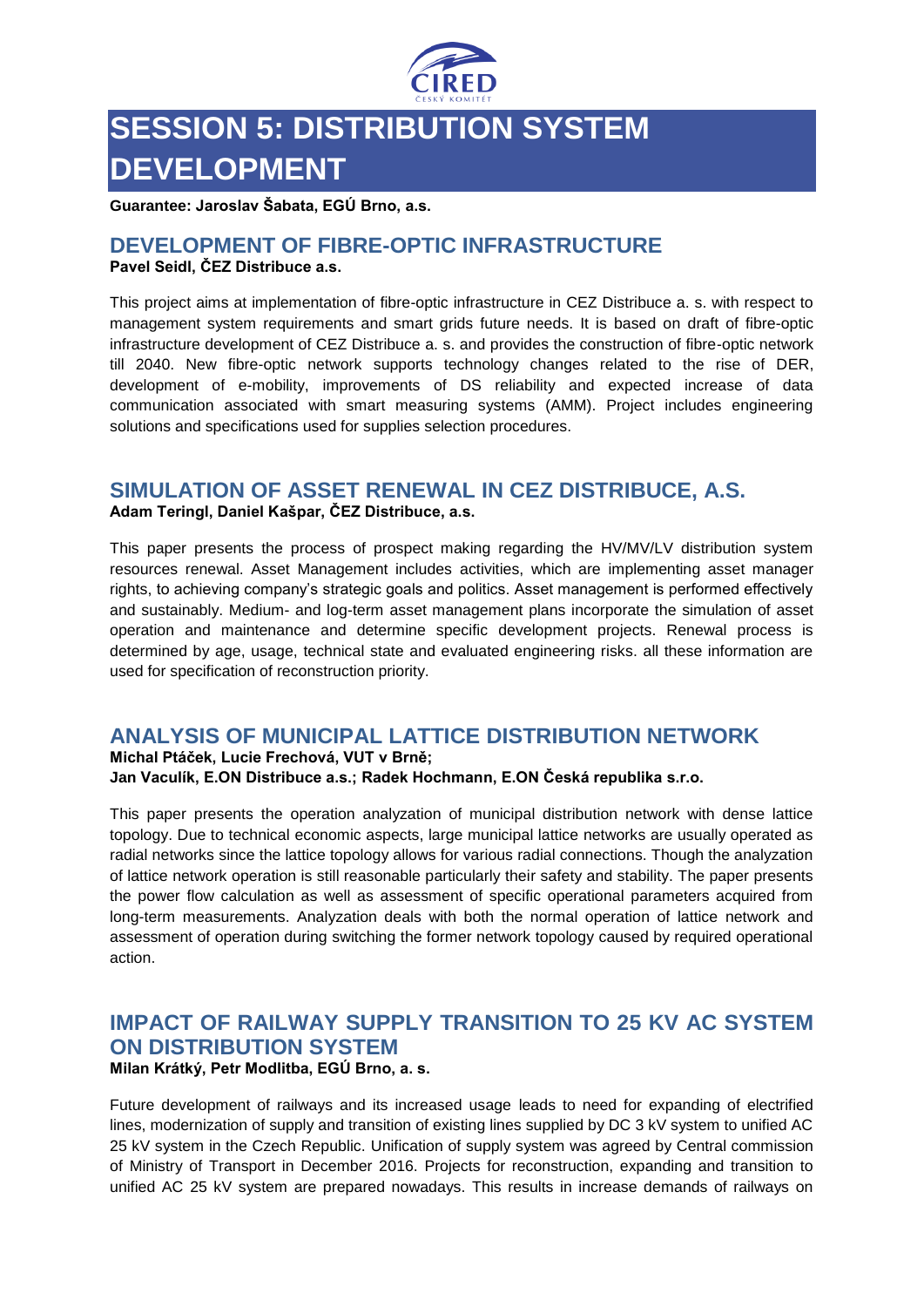

# **SESSION 5: DISTRIBUTION SYSTEM DEVELOPMENT**

**Guarantee: Jaroslav Šabata, EGÚ Brno, a.s.**

#### **DEVELOPMENT OF FIBRE-OPTIC INFRASTRUCTURE Pavel Seidl, ČEZ Distribuce a.s.**

This project aims at implementation of fibre-optic infrastructure in CEZ Distribuce a. s. with respect to management system requirements and smart grids future needs. It is based on draft of fibre-optic infrastructure development of CEZ Distribuce a. s. and provides the construction of fibre-optic network till 2040. New fibre-optic network supports technology changes related to the rise of DER, development of e-mobility, improvements of DS reliability and expected increase of data communication associated with smart measuring systems (AMM). Project includes engineering solutions and specifications used for supplies selection procedures.

# **SIMULATION OF ASSET RENEWAL IN CEZ DISTRIBUCE, A.S.**

**Adam Teringl, Daniel Kašpar, ČEZ Distribuce, a.s.**

This paper presents the process of prospect making regarding the HV/MV/LV distribution system resources renewal. Asset Management includes activities, which are implementing asset manager rights, to achieving company's strategic goals and politics. Asset management is performed effectively and sustainably. Medium- and log-term asset management plans incorporate the simulation of asset operation and maintenance and determine specific development projects. Renewal process is determined by age, usage, technical state and evaluated engineering risks. all these information are used for specification of reconstruction priority.

# **ANALYSIS OF MUNICIPAL LATTICE DISTRIBUTION NETWORK**

**Michal Ptáček, Lucie Frechová, VUT v Brně; Jan Vaculík, E.ON Distribuce a.s.; Radek Hochmann, E.ON Česká republika s.r.o.**

This paper presents the operation analyzation of municipal distribution network with dense lattice topology. Due to technical economic aspects, large municipal lattice networks are usually operated as radial networks since the lattice topology allows for various radial connections. Though the analyzation of lattice network operation is still reasonable particularly their safety and stability. The paper presents the power flow calculation as well as assessment of specific operational parameters acquired from long-term measurements. Analyzation deals with both the normal operation of lattice network and assessment of operation during switching the former network topology caused by required operational action.

# **IMPACT OF RAILWAY SUPPLY TRANSITION TO 25 KV AC SYSTEM ON DISTRIBUTION SYSTEM**

**Milan Krátký, Petr Modlitba, EGÚ Brno, a. s.** 

Future development of railways and its increased usage leads to need for expanding of electrified lines, modernization of supply and transition of existing lines supplied by DC 3 kV system to unified AC 25 kV system in the Czech Republic. Unification of supply system was agreed by Central commission of Ministry of Transport in December 2016. Projects for reconstruction, expanding and transition to unified AC 25 kV system are prepared nowadays. This results in increase demands of railways on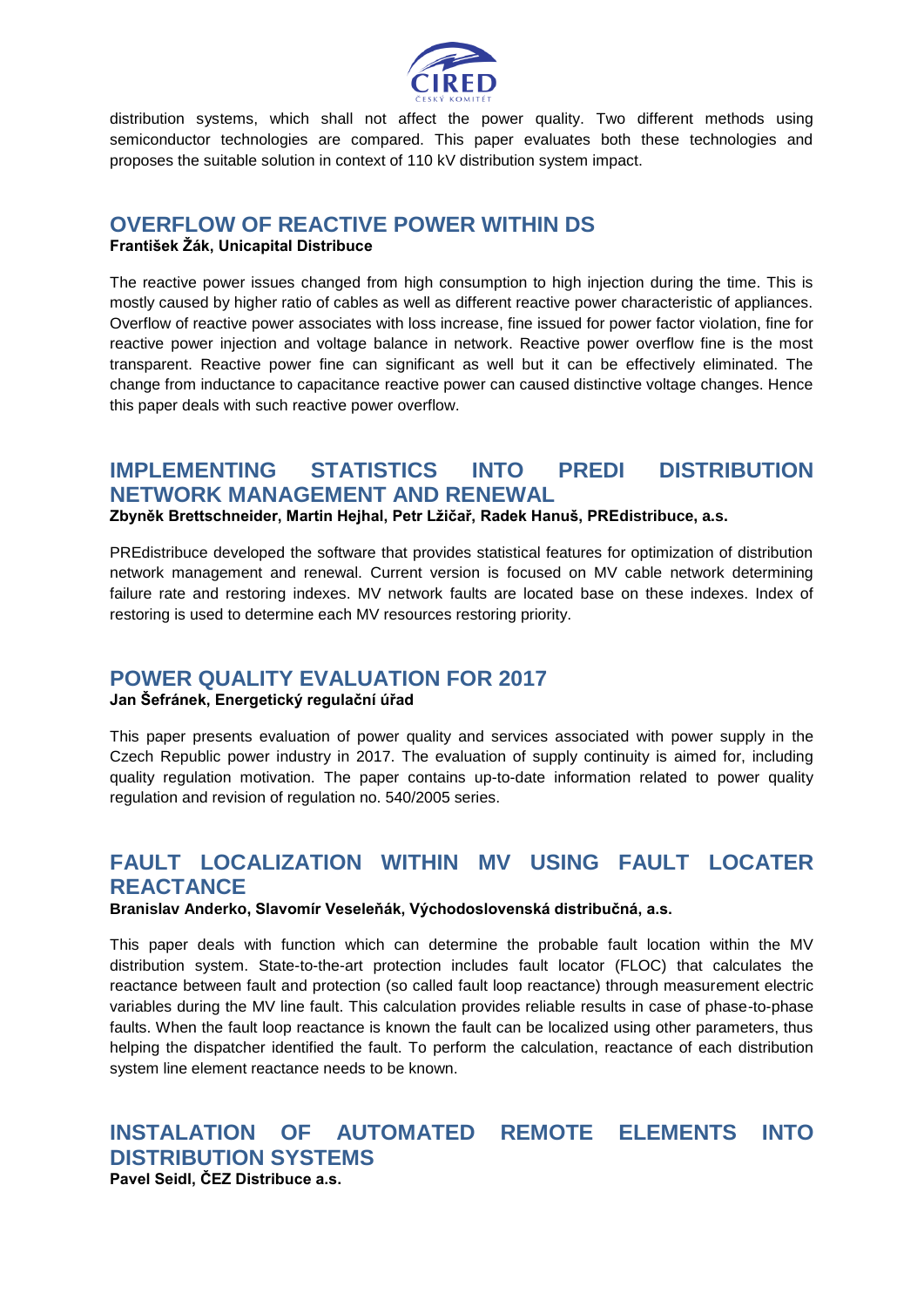

distribution systems, which shall not affect the power quality. Two different methods using semiconductor technologies are compared. This paper evaluates both these technologies and proposes the suitable solution in context of 110 kV distribution system impact.

# **OVERFLOW OF REACTIVE POWER WITHIN DS**

**František Žák, Unicapital Distribuce**

The reactive power issues changed from high consumption to high injection during the time. This is mostly caused by higher ratio of cables as well as different reactive power characteristic of appliances. Overflow of reactive power associates with loss increase, fine issued for power factor violation, fine for reactive power injection and voltage balance in network. Reactive power overflow fine is the most transparent. Reactive power fine can significant as well but it can be effectively eliminated. The change from inductance to capacitance reactive power can caused distinctive voltage changes. Hence this paper deals with such reactive power overflow.

# **IMPLEMENTING STATISTICS INTO PREDI DISTRIBUTION NETWORK MANAGEMENT AND RENEWAL**

**Zbyněk Brettschneider, Martin Hejhal, Petr Lžičař, Radek Hanuš, PREdistribuce, a.s.**

PREdistribuce developed the software that provides statistical features for optimization of distribution network management and renewal. Current version is focused on MV cable network determining failure rate and restoring indexes. MV network faults are located base on these indexes. Index of restoring is used to determine each MV resources restoring priority.

# **POWER QUALITY EVALUATION FOR 2017**

**Jan Šefránek, Energetický regulační úřad**

This paper presents evaluation of power quality and services associated with power supply in the Czech Republic power industry in 2017. The evaluation of supply continuity is aimed for, including quality regulation motivation. The paper contains up-to-date information related to power quality regulation and revision of regulation no. 540/2005 series.

# **FAULT LOCALIZATION WITHIN MV USING FAULT LOCATER REACTANCE**

**Branislav Anderko, Slavomír Veseleňák, Východoslovenská distribučná, a.s.**

This paper deals with function which can determine the probable fault location within the MV distribution system. State-to-the-art protection includes fault locator (FLOC) that calculates the reactance between fault and protection (so called fault loop reactance) through measurement electric variables during the MV line fault. This calculation provides reliable results in case of phase-to-phase faults. When the fault loop reactance is known the fault can be localized using other parameters, thus helping the dispatcher identified the fault. To perform the calculation, reactance of each distribution system line element reactance needs to be known.

# **INSTALATION OF AUTOMATED REMOTE ELEMENTS INTO DISTRIBUTION SYSTEMS**

**Pavel Seidl, ČEZ Distribuce a.s.**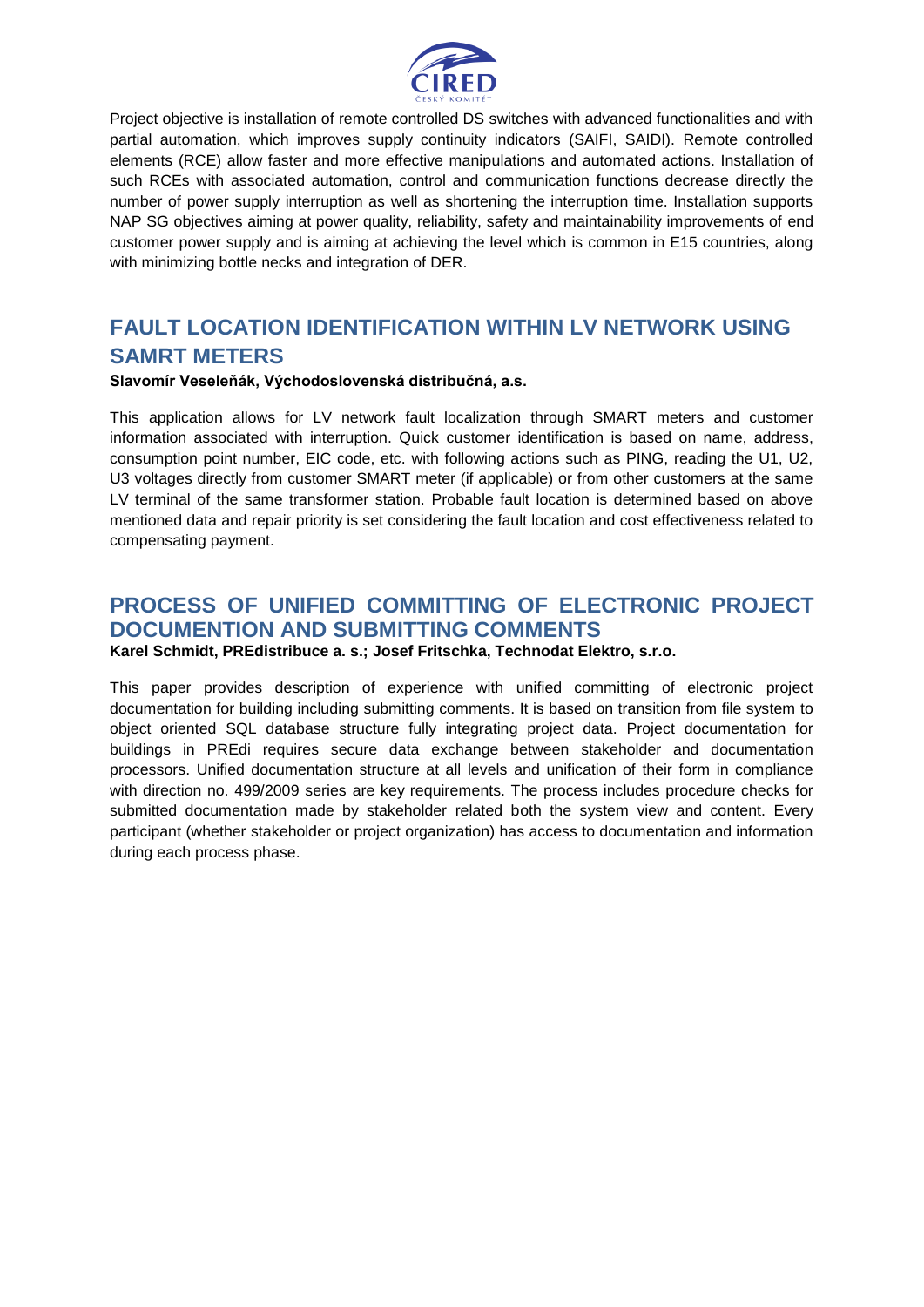

Project objective is installation of remote controlled DS switches with advanced functionalities and with partial automation, which improves supply continuity indicators (SAIFI, SAIDI). Remote controlled elements (RCE) allow faster and more effective manipulations and automated actions. Installation of such RCEs with associated automation, control and communication functions decrease directly the number of power supply interruption as well as shortening the interruption time. Installation supports NAP SG objectives aiming at power quality, reliability, safety and maintainability improvements of end customer power supply and is aiming at achieving the level which is common in E15 countries, along with minimizing bottle necks and integration of DER.

# **FAULT LOCATION IDENTIFICATION WITHIN LV NETWORK USING SAMRT METERS**

#### **Slavomír Veseleňák, Východoslovenská distribučná, a.s.**

This application allows for LV network fault localization through SMART meters and customer information associated with interruption. Quick customer identification is based on name, address, consumption point number, EIC code, etc. with following actions such as PING, reading the U1, U2, U3 voltages directly from customer SMART meter (if applicable) or from other customers at the same LV terminal of the same transformer station. Probable fault location is determined based on above mentioned data and repair priority is set considering the fault location and cost effectiveness related to compensating payment.

#### **PROCESS OF UNIFIED COMMITTING OF ELECTRONIC PROJECT DOCUMENTION AND SUBMITTING COMMENTS Karel Schmidt, PREdistribuce a. s.; Josef Fritschka, Technodat Elektro, s.r.o.**

This paper provides description of experience with unified committing of electronic project documentation for building including submitting comments. It is based on transition from file system to object oriented SQL database structure fully integrating project data. Project documentation for buildings in PREdi requires secure data exchange between stakeholder and documentation processors. Unified documentation structure at all levels and unification of their form in compliance with direction no. 499/2009 series are key requirements. The process includes procedure checks for submitted documentation made by stakeholder related both the system view and content. Every participant (whether stakeholder or project organization) has access to documentation and information during each process phase.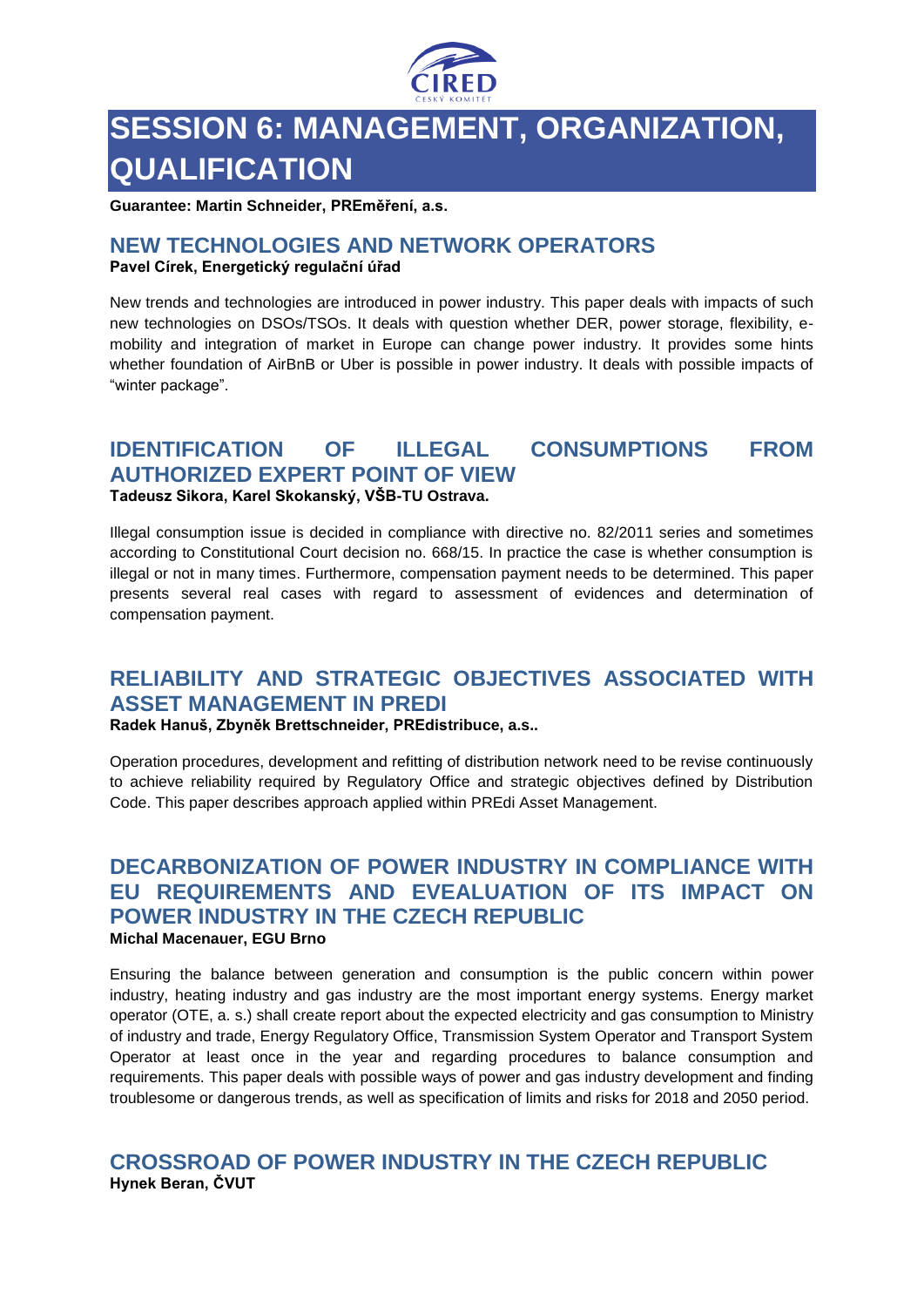

# **SESSION 6: MANAGEMENT, ORGANIZATION, QUALIFICATION**

**Guarantee: Martin Schneider, PREměření, a.s.**

#### **NEW TECHNOLOGIES AND NETWORK OPERATORS Pavel Círek, Energetický regulační úřad**

New trends and technologies are introduced in power industry. This paper deals with impacts of such new technologies on DSOs/TSOs. It deals with question whether DER, power storage, flexibility, emobility and integration of market in Europe can change power industry. It provides some hints whether foundation of AirBnB or Uber is possible in power industry. It deals with possible impacts of "winter package".

### **IDENTIFICATION OF ILLEGAL CONSUMPTIONS FROM AUTHORIZED EXPERT POINT OF VIEW Tadeusz Sikora, Karel Skokanský, VŠB-TU Ostrava.**

Illegal consumption issue is decided in compliance with directive no. 82/2011 series and sometimes according to Constitutional Court decision no. 668/15. In practice the case is whether consumption is illegal or not in many times. Furthermore, compensation payment needs to be determined. This paper presents several real cases with regard to assessment of evidences and determination of compensation payment.

# **RELIABILITY AND STRATEGIC OBJECTIVES ASSOCIATED WITH ASSET MANAGEMENT IN PREDI**

**Radek Hanuš, Zbyněk Brettschneider, PREdistribuce, a.s..**

Operation procedures, development and refitting of distribution network need to be revise continuously to achieve reliability required by Regulatory Office and strategic objectives defined by Distribution Code. This paper describes approach applied within PREdi Asset Management.

### **DECARBONIZATION OF POWER INDUSTRY IN COMPLIANCE WITH EU REQUIREMENTS AND EVEALUATION OF ITS IMPACT ON POWER INDUSTRY IN THE CZECH REPUBLIC Michal Macenauer, EGU Brno**

Ensuring the balance between generation and consumption is the public concern within power industry, heating industry and gas industry are the most important energy systems. Energy market operator (OTE, a. s.) shall create report about the expected electricity and gas consumption to Ministry of industry and trade, Energy Regulatory Office, Transmission System Operator and Transport System Operator at least once in the year and regarding procedures to balance consumption and requirements. This paper deals with possible ways of power and gas industry development and finding troublesome or dangerous trends, as well as specification of limits and risks for 2018 and 2050 period.

#### **CROSSROAD OF POWER INDUSTRY IN THE CZECH REPUBLIC Hynek Beran, ČVUT**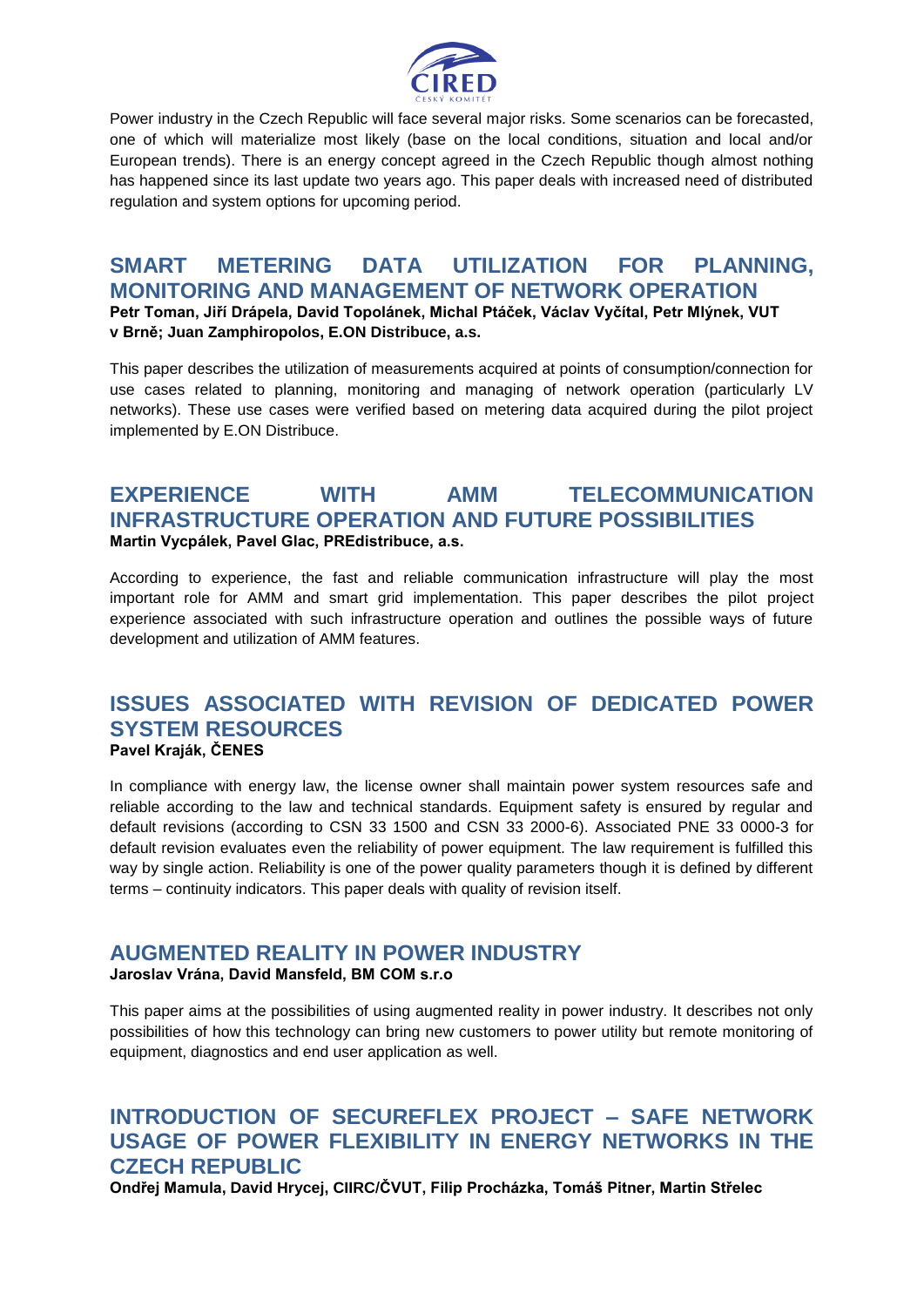

Power industry in the Czech Republic will face several major risks. Some scenarios can be forecasted, one of which will materialize most likely (base on the local conditions, situation and local and/or European trends). There is an energy concept agreed in the Czech Republic though almost nothing has happened since its last update two years ago. This paper deals with increased need of distributed regulation and system options for upcoming period.

# **SMART METERING DATA UTILIZATION FOR PLANNING, MONITORING AND MANAGEMENT OF NETWORK OPERATION Petr Toman, Jiří Drápela, David Topolánek, Michal Ptáček, Václav Vyčítal, Petr Mlýnek, VUT**

**v Brně; Juan Zamphiropolos, E.ON Distribuce, a.s.**

This paper describes the utilization of measurements acquired at points of consumption/connection for use cases related to planning, monitoring and managing of network operation (particularly LV networks). These use cases were verified based on metering data acquired during the pilot project implemented by E.ON Distribuce.

#### **EXPERIENCE WITH AMM TELECOMMUNICATION INFRASTRUCTURE OPERATION AND FUTURE POSSIBILITIES Martin Vycpálek, Pavel Glac, PREdistribuce, a.s.**

According to experience, the fast and reliable communication infrastructure will play the most important role for AMM and smart grid implementation. This paper describes the pilot project experience associated with such infrastructure operation and outlines the possible ways of future development and utilization of AMM features.

#### **ISSUES ASSOCIATED WITH REVISION OF DEDICATED POWER SYSTEM RESOURCES Pavel Kraják, ČENES**

In compliance with energy law, the license owner shall maintain power system resources safe and reliable according to the law and technical standards. Equipment safety is ensured by regular and default revisions (according to CSN 33 1500 and CSN 33 2000-6). Associated PNE 33 0000-3 for default revision evaluates even the reliability of power equipment. The law requirement is fulfilled this way by single action. Reliability is one of the power quality parameters though it is defined by different terms – continuity indicators. This paper deals with quality of revision itself.

# **AUGMENTED REALITY IN POWER INDUSTRY**

#### **Jaroslav Vrána, David Mansfeld, BM COM s.r.o**

This paper aims at the possibilities of using augmented reality in power industry. It describes not only possibilities of how this technology can bring new customers to power utility but remote monitoring of equipment, diagnostics and end user application as well.

# **INTRODUCTION OF SECUREFLEX PROJECT – SAFE NETWORK USAGE OF POWER FLEXIBILITY IN ENERGY NETWORKS IN THE CZECH REPUBLIC**

**Ondřej Mamula, David Hrycej, CIIRC/ČVUT, Filip Procházka, Tomáš Pitner, Martin Střelec**